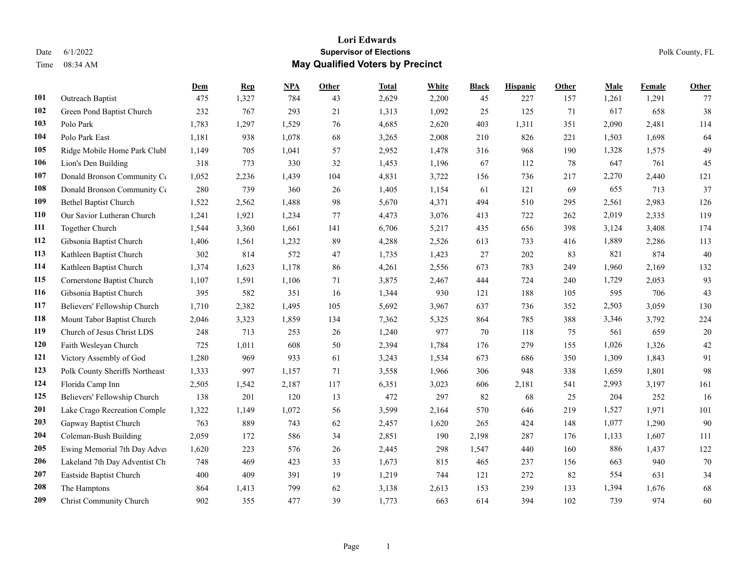|     |                                | Dem   | <b>Rep</b> | NPA   | Other | <b>Total</b> | White | <b>Black</b> | <b>Hispanic</b> | Other | <b>Male</b> | Female | <b>Other</b> |
|-----|--------------------------------|-------|------------|-------|-------|--------------|-------|--------------|-----------------|-------|-------------|--------|--------------|
| 101 | Outreach Baptist               | 475   | 1,327      | 784   | 43    | 2,629        | 2,200 | 45           | 227             | 157   | 1,261       | 1,291  | 77           |
| 102 | Green Pond Baptist Church      | 232   | 767        | 293   | 21    | 1,313        | 1,092 | 25           | 125             | 71    | 617         | 658    | 38           |
| 103 | Polo Park                      | 1,783 | 1,297      | 1,529 | 76    | 4,685        | 2,620 | 403          | 1,311           | 351   | 2,090       | 2,481  | 114          |
| 104 | Polo Park East                 | 1,181 | 938        | 1,078 | 68    | 3,265        | 2,008 | 210          | 826             | 221   | 1,503       | 1,698  | 64           |
| 105 | Ridge Mobile Home Park Clubl   | 1,149 | 705        | 1,041 | 57    | 2,952        | 1,478 | 316          | 968             | 190   | 1,328       | 1,575  | 49           |
| 106 | Lion's Den Building            | 318   | 773        | 330   | 32    | 1,453        | 1,196 | 67           | 112             | 78    | 647         | 761    | 45           |
| 107 | Donald Bronson Community Co    | 1,052 | 2,236      | 1,439 | 104   | 4,831        | 3,722 | 156          | 736             | 217   | 2,270       | 2,440  | 121          |
| 108 | Donald Bronson Community Co    | 280   | 739        | 360   | 26    | 1,405        | 1,154 | 61           | 121             | 69    | 655         | 713    | 37           |
| 109 | <b>Bethel Baptist Church</b>   | 1,522 | 2,562      | 1,488 | 98    | 5,670        | 4,371 | 494          | 510             | 295   | 2,561       | 2,983  | 126          |
| 110 | Our Savior Lutheran Church     | 1,241 | 1,921      | 1,234 | 77    | 4,473        | 3,076 | 413          | 722             | 262   | 2,019       | 2,335  | 119          |
| 111 | Together Church                | 1,544 | 3,360      | 1,661 | 141   | 6,706        | 5,217 | 435          | 656             | 398   | 3,124       | 3,408  | 174          |
| 112 | Gibsonia Baptist Church        | 1,406 | 1,561      | 1,232 | 89    | 4,288        | 2,526 | 613          | 733             | 416   | 1,889       | 2,286  | 113          |
| 113 | Kathleen Baptist Church        | 302   | 814        | 572   | 47    | 1,735        | 1,423 | 27           | 202             | 83    | 821         | 874    | 40           |
| 114 | Kathleen Baptist Church        | 1,374 | 1,623      | 1,178 | 86    | 4,261        | 2,556 | 673          | 783             | 249   | 1,960       | 2,169  | 132          |
| 115 | Cornerstone Baptist Church     | 1,107 | 1,591      | 1,106 | 71    | 3,875        | 2,467 | 444          | 724             | 240   | 1,729       | 2,053  | 93           |
| 116 | Gibsonia Baptist Church        | 395   | 582        | 351   | 16    | 1,344        | 930   | 121          | 188             | 105   | 595         | 706    | 43           |
| 117 | Believers' Fellowship Church   | 1,710 | 2,382      | 1,495 | 105   | 5,692        | 3,967 | 637          | 736             | 352   | 2,503       | 3,059  | 130          |
| 118 | Mount Tabor Baptist Church     | 2,046 | 3,323      | 1,859 | 134   | 7,362        | 5,325 | 864          | 785             | 388   | 3,346       | 3,792  | 224          |
| 119 | Church of Jesus Christ LDS     | 248   | 713        | 253   | 26    | 1,240        | 977   | 70           | 118             | 75    | 561         | 659    | 20           |
| 120 | Faith Wesleyan Church          | 725   | 1,011      | 608   | 50    | 2,394        | 1,784 | 176          | 279             | 155   | 1,026       | 1,326  | 42           |
| 121 | Victory Assembly of God        | 1,280 | 969        | 933   | 61    | 3,243        | 1,534 | 673          | 686             | 350   | 1,309       | 1,843  | 91           |
| 123 | Polk County Sheriffs Northeast | 1,333 | 997        | 1,157 | 71    | 3,558        | 1,966 | 306          | 948             | 338   | 1,659       | 1,801  | 98           |
| 124 | Florida Camp Inn               | 2,505 | 1,542      | 2,187 | 117   | 6,351        | 3,023 | 606          | 2,181           | 541   | 2,993       | 3,197  | 161          |
| 125 | Believers' Fellowship Church   | 138   | 201        | 120   | 13    | 472          | 297   | 82           | 68              | 25    | 204         | 252    | 16           |
| 201 | Lake Crago Recreation Comple   | 1,322 | 1,149      | 1,072 | 56    | 3,599        | 2,164 | 570          | 646             | 219   | 1,527       | 1,971  | 101          |
| 203 | Gapway Baptist Church          | 763   | 889        | 743   | 62    | 2,457        | 1,620 | 265          | 424             | 148   | 1,077       | 1,290  | 90           |
| 204 | Coleman-Bush Building          | 2,059 | 172        | 586   | 34    | 2,851        | 190   | 2,198        | 287             | 176   | 1,133       | 1,607  | 111          |
| 205 | Ewing Memorial 7th Day Adver   | 1,620 | 223        | 576   | 26    | 2,445        | 298   | 1,547        | 440             | 160   | 886         | 1,437  | 122          |
| 206 | Lakeland 7th Day Adventist Ch  | 748   | 469        | 423   | 33    | 1,673        | 815   | 465          | 237             | 156   | 663         | 940    | 70           |
| 207 | Eastside Baptist Church        | 400   | 409        | 391   | 19    | 1,219        | 744   | 121          | 272             | 82    | 554         | 631    | 34           |
| 208 | The Hamptons                   | 864   | 1,413      | 799   | 62    | 3,138        | 2,613 | 153          | 239             | 133   | 1,394       | 1,676  | 68           |
| 209 | Christ Community Church        | 902   | 355        | 477   | 39    | 1,773        | 663   | 614          | 394             | 102   | 739         | 974    | 60           |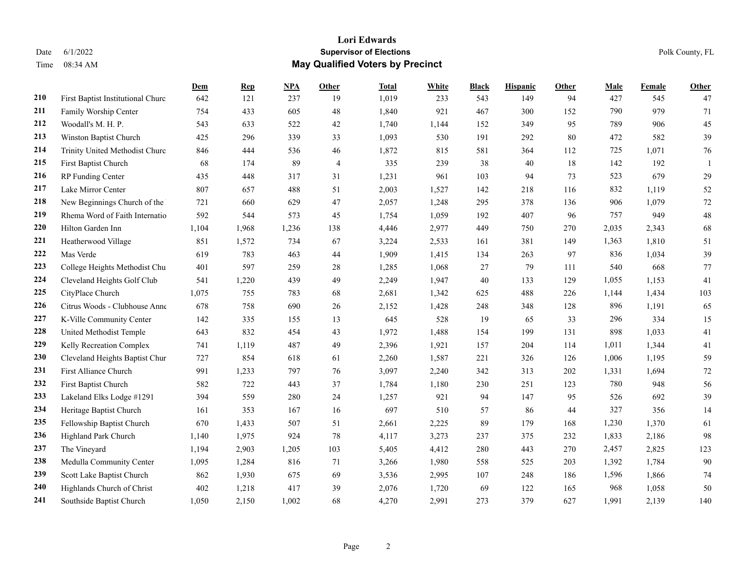|     |                                   | Dem   | <b>Rep</b> | NPA   | Other          | <b>Total</b> | <b>White</b> | <b>Black</b> | <b>Hispanic</b> | Other | <b>Male</b> | Female | <b>Other</b> |
|-----|-----------------------------------|-------|------------|-------|----------------|--------------|--------------|--------------|-----------------|-------|-------------|--------|--------------|
| 210 | First Baptist Institutional Churc | 642   | 121        | 237   | 19             | 1,019        | 233          | 543          | 149             | 94    | 427         | 545    | 47           |
| 211 | Family Worship Center             | 754   | 433        | 605   | 48             | 1,840        | 921          | 467          | 300             | 152   | 790         | 979    | 71           |
| 212 | Woodall's M. H. P.                | 543   | 633        | 522   | 42             | 1,740        | 1,144        | 152          | 349             | 95    | 789         | 906    | 45           |
| 213 | Winston Baptist Church            | 425   | 296        | 339   | 33             | 1,093        | 530          | 191          | 292             | 80    | 472         | 582    | 39           |
| 214 | Trinity United Methodist Churc    | 846   | 444        | 536   | 46             | 1,872        | 815          | 581          | 364             | 112   | 725         | 1,071  | 76           |
| 215 | First Baptist Church              | 68    | 174        | 89    | $\overline{4}$ | 335          | 239          | 38           | 40              | 18    | 142         | 192    |              |
| 216 | RP Funding Center                 | 435   | 448        | 317   | 31             | 1,231        | 961          | 103          | 94              | 73    | 523         | 679    | 29           |
| 217 | Lake Mirror Center                | 807   | 657        | 488   | 51             | 2,003        | 1,527        | 142          | 218             | 116   | 832         | 1,119  | 52           |
| 218 | New Beginnings Church of the      | 721   | 660        | 629   | 47             | 2,057        | 1,248        | 295          | 378             | 136   | 906         | 1,079  | 72           |
| 219 | Rhema Word of Faith Internatio    | 592   | 544        | 573   | 45             | 1,754        | 1,059        | 192          | 407             | 96    | 757         | 949    | 48           |
| 220 | Hilton Garden Inn                 | 1,104 | 1,968      | 1,236 | 138            | 4,446        | 2,977        | 449          | 750             | 270   | 2,035       | 2,343  | 68           |
| 221 | Heatherwood Village               | 851   | 1,572      | 734   | 67             | 3,224        | 2,533        | 161          | 381             | 149   | 1,363       | 1,810  | 51           |
| 222 | Mas Verde                         | 619   | 783        | 463   | 44             | 1,909        | 1,415        | 134          | 263             | 97    | 836         | 1,034  | 39           |
| 223 | College Heights Methodist Chu     | 401   | 597        | 259   | 28             | 1,285        | 1,068        | 27           | 79              | 111   | 540         | 668    | 77           |
| 224 | Cleveland Heights Golf Club       | 541   | 1,220      | 439   | 49             | 2,249        | 1,947        | 40           | 133             | 129   | 1,055       | 1,153  | 41           |
| 225 | CityPlace Church                  | 1,075 | 755        | 783   | 68             | 2,681        | 1,342        | 625          | 488             | 226   | 1,144       | 1,434  | 103          |
| 226 | Citrus Woods - Clubhouse Anne     | 678   | 758        | 690   | 26             | 2,152        | 1,428        | 248          | 348             | 128   | 896         | 1,191  | 65           |
| 227 | K-Ville Community Center          | 142   | 335        | 155   | 13             | 645          | 528          | 19           | 65              | 33    | 296         | 334    | 15           |
| 228 | United Methodist Temple           | 643   | 832        | 454   | 43             | 1,972        | 1,488        | 154          | 199             | 131   | 898         | 1,033  | 41           |
| 229 | Kelly Recreation Complex          | 741   | 1,119      | 487   | 49             | 2,396        | 1,921        | 157          | 204             | 114   | 1,011       | 1,344  | 41           |
| 230 | Cleveland Heights Baptist Chur    | 727   | 854        | 618   | 61             | 2,260        | 1,587        | 221          | 326             | 126   | 1,006       | 1,195  | 59           |
| 231 | First Alliance Church             | 991   | 1,233      | 797   | 76             | 3,097        | 2,240        | 342          | 313             | 202   | 1,331       | 1,694  | 72           |
| 232 | First Baptist Church              | 582   | 722        | 443   | 37             | 1,784        | 1,180        | 230          | 251             | 123   | 780         | 948    | 56           |
| 233 | Lakeland Elks Lodge #1291         | 394   | 559        | 280   | 24             | 1,257        | 921          | 94           | 147             | 95    | 526         | 692    | 39           |
| 234 | Heritage Baptist Church           | 161   | 353        | 167   | 16             | 697          | 510          | 57           | 86              | 44    | 327         | 356    | 14           |
| 235 | Fellowship Baptist Church         | 670   | 1,433      | 507   | 51             | 2,661        | 2,225        | 89           | 179             | 168   | 1,230       | 1,370  | 61           |
| 236 | Highland Park Church              | 1,140 | 1,975      | 924   | 78             | 4,117        | 3,273        | 237          | 375             | 232   | 1,833       | 2,186  | 98           |
| 237 | The Vineyard                      | 1,194 | 2,903      | 1,205 | 103            | 5,405        | 4,412        | 280          | 443             | 270   | 2,457       | 2,825  | 123          |
| 238 | Medulla Community Center          | 1,095 | 1,284      | 816   | 71             | 3,266        | 1,980        | 558          | 525             | 203   | 1,392       | 1,784  | 90           |
| 239 | Scott Lake Baptist Church         | 862   | 1,930      | 675   | 69             | 3,536        | 2,995        | 107          | 248             | 186   | 1,596       | 1,866  | 74           |
| 240 | Highlands Church of Christ        | 402   | 1,218      | 417   | 39             | 2,076        | 1,720        | 69           | 122             | 165   | 968         | 1,058  | 50           |
| 241 | Southside Baptist Church          | 1.050 | 2,150      | 1.002 | 68             | 4.270        | 2.991        | 273          | 379             | 627   | 1.991       | 2.139  | 140          |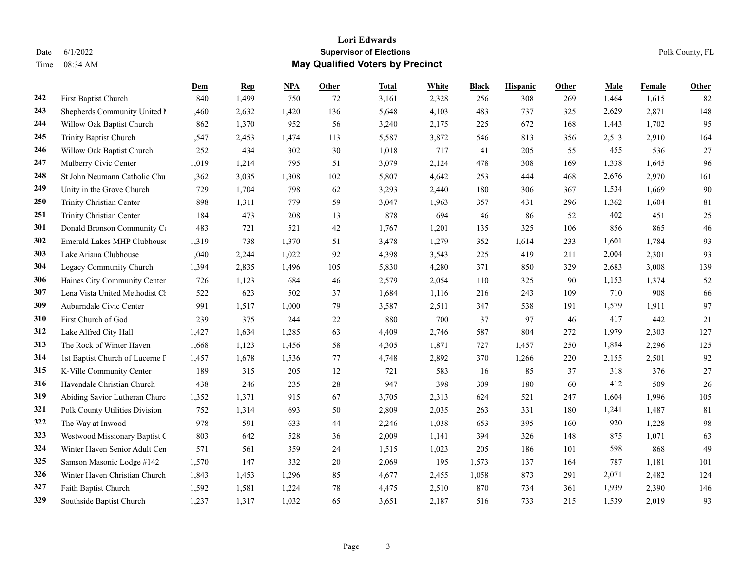|     |                                    | Dem   | <b>Rep</b> | NPA   | <b>Other</b> | <b>Total</b> | White | <b>Black</b> | <b>Hispanic</b> | Other | <b>Male</b> | Female | <b>Other</b> |
|-----|------------------------------------|-------|------------|-------|--------------|--------------|-------|--------------|-----------------|-------|-------------|--------|--------------|
| 242 | First Baptist Church               | 840   | 1,499      | 750   | 72           | 3,161        | 2,328 | 256          | 308             | 269   | 1,464       | 1,615  | 82           |
| 243 | Shepherds Community United N       | 1,460 | 2,632      | 1,420 | 136          | 5,648        | 4,103 | 483          | 737             | 325   | 2,629       | 2,871  | 148          |
| 244 | Willow Oak Baptist Church          | 862   | 1,370      | 952   | 56           | 3,240        | 2,175 | 225          | 672             | 168   | 1,443       | 1,702  | 95           |
| 245 | Trinity Baptist Church             | 1,547 | 2,453      | 1,474 | 113          | 5,587        | 3,872 | 546          | 813             | 356   | 2,513       | 2,910  | 164          |
| 246 | Willow Oak Baptist Church          | 252   | 434        | 302   | 30           | 1,018        | 717   | 41           | 205             | 55    | 455         | 536    | 27           |
| 247 | Mulberry Civic Center              | 1,019 | 1,214      | 795   | 51           | 3,079        | 2,124 | 478          | 308             | 169   | 1,338       | 1,645  | 96           |
| 248 | St John Neumann Catholic Chu       | 1,362 | 3,035      | 1,308 | 102          | 5,807        | 4,642 | 253          | 444             | 468   | 2,676       | 2,970  | 161          |
| 249 | Unity in the Grove Church          | 729   | 1,704      | 798   | 62           | 3,293        | 2,440 | 180          | 306             | 367   | 1,534       | 1,669  | 90           |
| 250 | Trinity Christian Center           | 898   | 1,311      | 779   | 59           | 3,047        | 1,963 | 357          | 431             | 296   | 1,362       | 1,604  | 81           |
| 251 | Trinity Christian Center           | 184   | 473        | 208   | 13           | 878          | 694   | 46           | 86              | 52    | 402         | 451    | 25           |
| 301 | Donald Bronson Community Co        | 483   | 721        | 521   | 42           | 1,767        | 1,201 | 135          | 325             | 106   | 856         | 865    | 46           |
| 302 | <b>Emerald Lakes MHP Clubhouse</b> | 1,319 | 738        | 1,370 | 51           | 3,478        | 1,279 | 352          | 1,614           | 233   | 1,601       | 1,784  | 93           |
| 303 | Lake Ariana Clubhouse              | 1,040 | 2,244      | 1,022 | 92           | 4,398        | 3,543 | 225          | 419             | 211   | 2,004       | 2,301  | 93           |
| 304 | Legacy Community Church            | 1,394 | 2,835      | 1,496 | 105          | 5,830        | 4,280 | 371          | 850             | 329   | 2,683       | 3,008  | 139          |
| 306 | Haines City Community Center       | 726   | 1,123      | 684   | 46           | 2,579        | 2,054 | 110          | 325             | 90    | 1,153       | 1,374  | 52           |
| 307 | Lena Vista United Methodist Cl     | 522   | 623        | 502   | 37           | 1,684        | 1,116 | 216          | 243             | 109   | 710         | 908    | 66           |
| 309 | Auburndale Civic Center            | 991   | 1,517      | 1,000 | 79           | 3,587        | 2,511 | 347          | 538             | 191   | 1,579       | 1,911  | 97           |
| 310 | First Church of God                | 239   | 375        | 244   | 22           | 880          | 700   | 37           | 97              | 46    | 417         | 442    | 21           |
| 312 | Lake Alfred City Hall              | 1,427 | 1,634      | 1,285 | 63           | 4,409        | 2,746 | 587          | 804             | 272   | 1,979       | 2,303  | 127          |
| 313 | The Rock of Winter Haven           | 1,668 | 1,123      | 1,456 | 58           | 4,305        | 1,871 | 727          | 1,457           | 250   | 1,884       | 2,296  | 125          |
| 314 | 1st Baptist Church of Lucerne P    | 1,457 | 1,678      | 1,536 | 77           | 4,748        | 2,892 | 370          | 1,266           | 220   | 2,155       | 2,501  | 92           |
| 315 | K-Ville Community Center           | 189   | 315        | 205   | 12           | 721          | 583   | 16           | 85              | 37    | 318         | 376    | 27           |
| 316 | Havendale Christian Church         | 438   | 246        | 235   | 28           | 947          | 398   | 309          | 180             | 60    | 412         | 509    | 26           |
| 319 | Abiding Savior Lutheran Churc      | 1,352 | 1,371      | 915   | 67           | 3,705        | 2,313 | 624          | 521             | 247   | 1,604       | 1,996  | 105          |
| 321 | Polk County Utilities Division     | 752   | 1,314      | 693   | 50           | 2,809        | 2,035 | 263          | 331             | 180   | 1,241       | 1,487  | 81           |
| 322 | The Way at Inwood                  | 978   | 591        | 633   | 44           | 2,246        | 1,038 | 653          | 395             | 160   | 920         | 1,228  | 98           |
| 323 | Westwood Missionary Baptist C      | 803   | 642        | 528   | 36           | 2,009        | 1,141 | 394          | 326             | 148   | 875         | 1,071  | 63           |
| 324 | Winter Haven Senior Adult Cen      | 571   | 561        | 359   | 24           | 1,515        | 1,023 | 205          | 186             | 101   | 598         | 868    | 49           |
| 325 | Samson Masonic Lodge #142          | 1,570 | 147        | 332   | 20           | 2,069        | 195   | 1,573        | 137             | 164   | 787         | 1,181  | 101          |
| 326 | Winter Haven Christian Church      | 1,843 | 1,453      | 1,296 | 85           | 4,677        | 2,455 | 1,058        | 873             | 291   | 2,071       | 2,482  | 124          |
| 327 | Faith Baptist Church               | 1,592 | 1,581      | 1,224 | 78           | 4,475        | 2,510 | 870          | 734             | 361   | 1,939       | 2,390  | 146          |
| 329 | Southside Baptist Church           | 1,237 | 1,317      | 1.032 | 65           | 3,651        | 2,187 | 516          | 733             | 215   | 1,539       | 2,019  | 93           |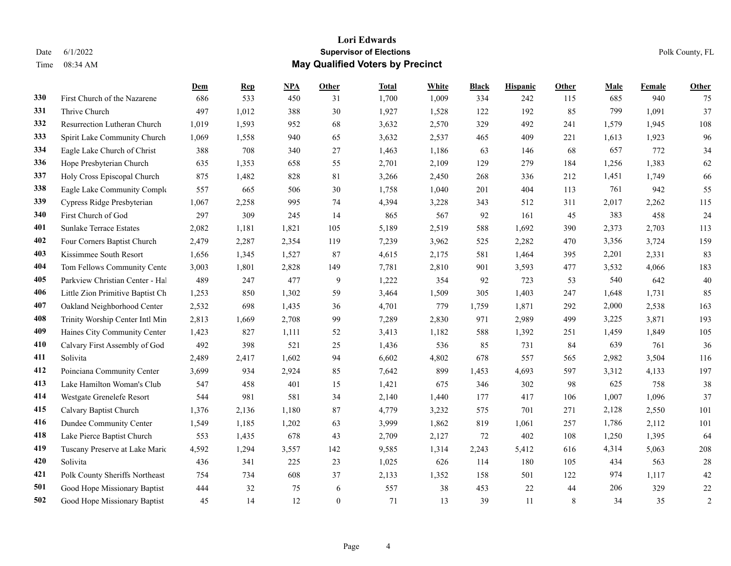|     |                                  | Dem   | <b>Rep</b> | NPA   | <b>Other</b> | <b>Total</b> | White | <b>Black</b> | <b>Hispanic</b> | Other | <b>Male</b> | Female | <b>Other</b>   |
|-----|----------------------------------|-------|------------|-------|--------------|--------------|-------|--------------|-----------------|-------|-------------|--------|----------------|
| 330 | First Church of the Nazarene     | 686   | 533        | 450   | 31           | 1,700        | 1,009 | 334          | 242             | 115   | 685         | 940    | 75             |
| 331 | Thrive Church                    | 497   | 1,012      | 388   | 30           | 1,927        | 1,528 | 122          | 192             | 85    | 799         | 1,091  | 37             |
| 332 | Resurrection Lutheran Church     | 1,019 | 1,593      | 952   | 68           | 3,632        | 2,570 | 329          | 492             | 241   | 1,579       | 1,945  | 108            |
| 333 | Spirit Lake Community Church     | 1,069 | 1,558      | 940   | 65           | 3,632        | 2,537 | 465          | 409             | 221   | 1,613       | 1,923  | 96             |
| 334 | Eagle Lake Church of Christ      | 388   | 708        | 340   | 27           | 1,463        | 1,186 | 63           | 146             | 68    | 657         | 772    | 34             |
| 336 | Hope Presbyterian Church         | 635   | 1,353      | 658   | 55           | 2,701        | 2,109 | 129          | 279             | 184   | 1,256       | 1,383  | 62             |
| 337 | Holy Cross Episcopal Church      | 875   | 1,482      | 828   | 81           | 3,266        | 2,450 | 268          | 336             | 212   | 1,451       | 1,749  | 66             |
| 338 | Eagle Lake Community Comple      | 557   | 665        | 506   | 30           | 1,758        | 1,040 | 201          | 404             | 113   | 761         | 942    | 55             |
| 339 | Cypress Ridge Presbyterian       | 1,067 | 2,258      | 995   | 74           | 4,394        | 3,228 | 343          | 512             | 311   | 2,017       | 2,262  | 115            |
| 340 | First Church of God              | 297   | 309        | 245   | 14           | 865          | 567   | 92           | 161             | 45    | 383         | 458    | 24             |
| 401 | <b>Sunlake Terrace Estates</b>   | 2,082 | 1,181      | 1,821 | 105          | 5,189        | 2,519 | 588          | 1,692           | 390   | 2,373       | 2,703  | 113            |
| 402 | Four Corners Baptist Church      | 2,479 | 2,287      | 2,354 | 119          | 7,239        | 3,962 | 525          | 2,282           | 470   | 3,356       | 3,724  | 159            |
| 403 | Kissimmee South Resort           | 1,656 | 1,345      | 1,527 | 87           | 4,615        | 2,175 | 581          | 1,464           | 395   | 2,201       | 2,331  | 83             |
| 404 | Tom Fellows Community Cente      | 3,003 | 1,801      | 2,828 | 149          | 7,781        | 2,810 | 901          | 3,593           | 477   | 3,532       | 4,066  | 183            |
| 405 | Parkview Christian Center - Hal  | 489   | 247        | 477   | 9            | 1,222        | 354   | 92           | 723             | 53    | 540         | 642    | 40             |
| 406 | Little Zion Primitive Baptist Ch | 1,253 | 850        | 1,302 | 59           | 3,464        | 1,509 | 305          | 1,403           | 247   | 1,648       | 1,731  | 85             |
| 407 | Oakland Neighborhood Center      | 2,532 | 698        | 1,435 | 36           | 4,701        | 779   | 1,759        | 1,871           | 292   | 2,000       | 2,538  | 163            |
| 408 | Trinity Worship Center Intl Min  | 2,813 | 1,669      | 2,708 | 99           | 7,289        | 2,830 | 971          | 2,989           | 499   | 3,225       | 3,871  | 193            |
| 409 | Haines City Community Center     | 1,423 | 827        | 1,111 | 52           | 3,413        | 1,182 | 588          | 1,392           | 251   | 1,459       | 1,849  | 105            |
| 410 | Calvary First Assembly of God    | 492   | 398        | 521   | 25           | 1,436        | 536   | 85           | 731             | 84    | 639         | 761    | 36             |
| 411 | Solivita                         | 2,489 | 2,417      | 1,602 | 94           | 6,602        | 4,802 | 678          | 557             | 565   | 2,982       | 3,504  | 116            |
| 412 | Poinciana Community Center       | 3,699 | 934        | 2,924 | 85           | 7,642        | 899   | 1,453        | 4,693           | 597   | 3,312       | 4,133  | 197            |
| 413 | Lake Hamilton Woman's Club       | 547   | 458        | 401   | 15           | 1,421        | 675   | 346          | 302             | 98    | 625         | 758    | 38             |
| 414 | Westgate Grenelefe Resort        | 544   | 981        | 581   | 34           | 2,140        | 1,440 | 177          | 417             | 106   | 1,007       | 1,096  | 37             |
| 415 | Calvary Baptist Church           | 1,376 | 2,136      | 1,180 | 87           | 4,779        | 3,232 | 575          | 701             | 271   | 2,128       | 2,550  | 101            |
| 416 | Dundee Community Center          | 1,549 | 1,185      | 1,202 | 63           | 3,999        | 1,862 | 819          | 1,061           | 257   | 1,786       | 2,112  | 101            |
| 418 | Lake Pierce Baptist Church       | 553   | 1,435      | 678   | 43           | 2,709        | 2,127 | 72           | 402             | 108   | 1,250       | 1,395  | 64             |
| 419 | Tuscany Preserve at Lake Maric   | 4,592 | 1,294      | 3,557 | 142          | 9,585        | 1,314 | 2,243        | 5,412           | 616   | 4,314       | 5,063  | 208            |
| 420 | Solivita                         | 436   | 341        | 225   | 23           | 1,025        | 626   | 114          | 180             | 105   | 434         | 563    | 28             |
| 421 | Polk County Sheriffs Northeast   | 754   | 734        | 608   | 37           | 2,133        | 1,352 | 158          | 501             | 122   | 974         | 1,117  | 42             |
| 501 | Good Hope Missionary Baptist     | 444   | 32         | 75    | 6            | 557          | 38    | 453          | 22              | 44    | 206         | 329    | 22             |
| 502 | Good Hope Missionary Baptist     | 45    | 14         | 12    | $\theta$     | 71           | 13    | 39           | 11              | 8     | 34          | 35     | $\overline{2}$ |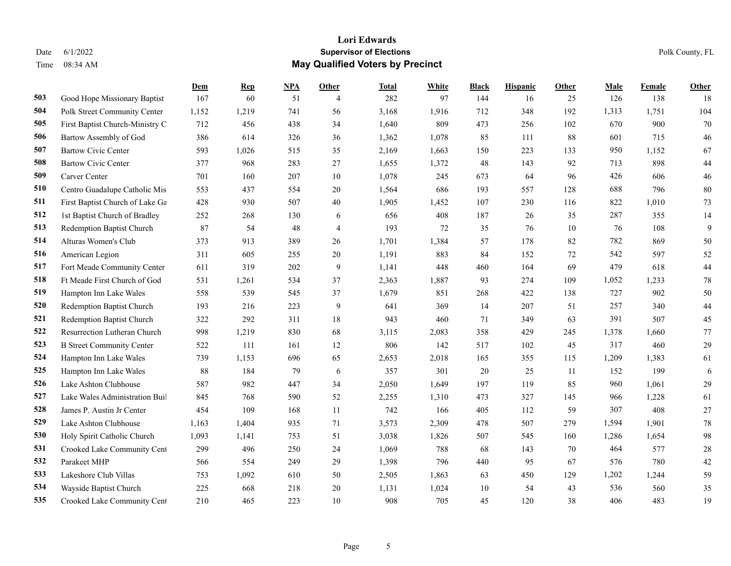|     |                                  | Dem   | <b>Rep</b> | NPA | Other          | <u>Total</u> | <b>White</b> | <b>Black</b> | <b>Hispanic</b> | Other | <b>Male</b> | Female | <b>Other</b> |
|-----|----------------------------------|-------|------------|-----|----------------|--------------|--------------|--------------|-----------------|-------|-------------|--------|--------------|
| 503 | Good Hope Missionary Baptist     | 167   | 60         | 51  | $\overline{4}$ | 282          | 97           | 144          | 16              | 25    | 126         | 138    | 18           |
| 504 | Polk Street Community Center     | 1,152 | 1,219      | 741 | 56             | 3,168        | 1,916        | 712          | 348             | 192   | 1,313       | 1,751  | 104          |
| 505 | First Baptist Church-Ministry C  | 712   | 456        | 438 | 34             | 1,640        | 809          | 473          | 256             | 102   | 670         | 900    | 70           |
| 506 | Bartow Assembly of God           | 386   | 614        | 326 | 36             | 1,362        | 1,078        | 85           | 111             | 88    | 601         | 715    | 46           |
| 507 | <b>Bartow Civic Center</b>       | 593   | 1,026      | 515 | 35             | 2,169        | 1,663        | 150          | 223             | 133   | 950         | 1,152  | 67           |
| 508 | <b>Bartow Civic Center</b>       | 377   | 968        | 283 | 27             | 1,655        | 1,372        | 48           | 143             | 92    | 713         | 898    | 44           |
| 509 | Carver Center                    | 701   | 160        | 207 | 10             | 1,078        | 245          | 673          | 64              | 96    | 426         | 606    | 46           |
| 510 | Centro Guadalupe Catholic Mis    | 553   | 437        | 554 | 20             | 1,564        | 686          | 193          | 557             | 128   | 688         | 796    | 80           |
| 511 | First Baptist Church of Lake Ga  | 428   | 930        | 507 | 40             | 1,905        | 1,452        | 107          | 230             | 116   | 822         | 1,010  | 73           |
| 512 | 1st Baptist Church of Bradley    | 252   | 268        | 130 | 6              | 656          | 408          | 187          | 26              | 35    | 287         | 355    | 14           |
| 513 | Redemption Baptist Church        | 87    | 54         | 48  | $\overline{4}$ | 193          | 72           | 35           | 76              | 10    | 76          | 108    | 9            |
| 514 | Alturas Women's Club             | 373   | 913        | 389 | 26             | 1,701        | 1,384        | 57           | 178             | 82    | 782         | 869    | 50           |
| 516 | American Legion                  | 311   | 605        | 255 | 20             | 1,191        | 883          | 84           | 152             | 72    | 542         | 597    | 52           |
| 517 | Fort Meade Community Center      | 611   | 319        | 202 | 9              | 1,141        | 448          | 460          | 164             | 69    | 479         | 618    | 44           |
| 518 | Ft Meade First Church of God     | 531   | 1,261      | 534 | 37             | 2,363        | 1,887        | 93           | 274             | 109   | 1,052       | 1,233  | 78           |
| 519 | Hampton Inn Lake Wales           | 558   | 539        | 545 | 37             | 1,679        | 851          | 268          | 422             | 138   | 727         | 902    | 50           |
| 520 | Redemption Baptist Church        | 193   | 216        | 223 | 9              | 641          | 369          | 14           | 207             | 51    | 257         | 340    | 44           |
| 521 | Redemption Baptist Church        | 322   | 292        | 311 | 18             | 943          | 460          | 71           | 349             | 63    | 391         | 507    | 45           |
| 522 | Resurrection Lutheran Church     | 998   | 1,219      | 830 | 68             | 3,115        | 2,083        | 358          | 429             | 245   | 1,378       | 1,660  | 77           |
| 523 | <b>B</b> Street Community Center | 522   | 111        | 161 | 12             | 806          | 142          | 517          | 102             | 45    | 317         | 460    | 29           |
| 524 | Hampton Inn Lake Wales           | 739   | 1,153      | 696 | 65             | 2,653        | 2,018        | 165          | 355             | 115   | 1,209       | 1,383  | 61           |
| 525 | Hampton Inn Lake Wales           | 88    | 184        | 79  | 6              | 357          | 301          | 20           | 25              | 11    | 152         | 199    | 6            |
| 526 | Lake Ashton Clubhouse            | 587   | 982        | 447 | 34             | 2,050        | 1,649        | 197          | 119             | 85    | 960         | 1,061  | 29           |
| 527 | Lake Wales Administration Buil   | 845   | 768        | 590 | 52             | 2,255        | 1,310        | 473          | 327             | 145   | 966         | 1,228  | 61           |
| 528 | James P. Austin Jr Center        | 454   | 109        | 168 | 11             | 742          | 166          | 405          | 112             | 59    | 307         | 408    | 27           |
| 529 | Lake Ashton Clubhouse            | 1,163 | 1,404      | 935 | 71             | 3,573        | 2,309        | 478          | 507             | 279   | 1,594       | 1,901  | 78           |
| 530 | Holy Spirit Catholic Church      | 1,093 | 1,141      | 753 | 51             | 3,038        | 1,826        | 507          | 545             | 160   | 1,286       | 1,654  | 98           |
| 531 | Crooked Lake Community Cent      | 299   | 496        | 250 | 24             | 1,069        | 788          | 68           | 143             | 70    | 464         | 577    | 28           |
| 532 | Parakeet MHP                     | 566   | 554        | 249 | 29             | 1,398        | 796          | 440          | 95              | 67    | 576         | 780    | 42           |
| 533 | Lakeshore Club Villas            | 753   | 1,092      | 610 | 50             | 2,505        | 1,863        | 63           | 450             | 129   | 1,202       | 1,244  | 59           |
| 534 | Wayside Baptist Church           | 225   | 668        | 218 | 20             | 1,131        | 1,024        | 10           | 54              | 43    | 536         | 560    | 35           |
| 535 | Crooked Lake Community Cent      | 210   | 465        | 223 | 10             | 908          | 705          | 45           | 120             | 38    | 406         | 483    | 19           |